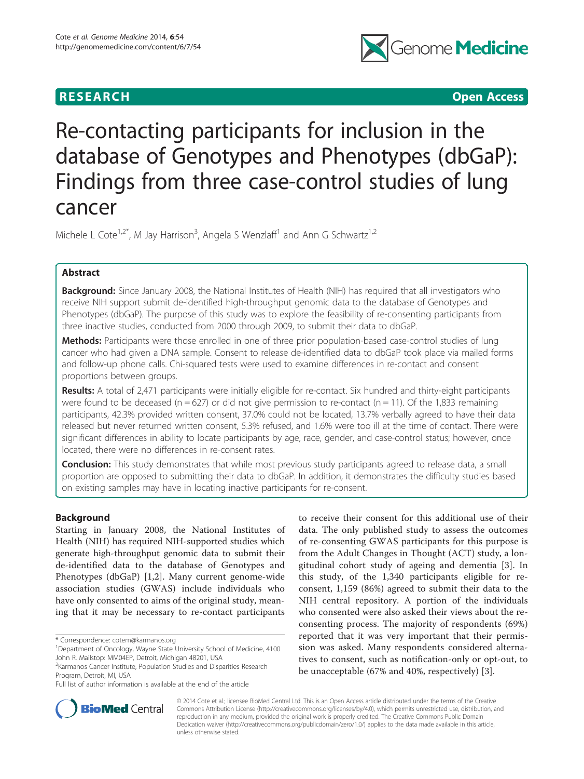# **RESEARCH CHINESEARCH CHINESEARCH CHINESE**



# Re-contacting participants for inclusion in the database of Genotypes and Phenotypes (dbGaP): Findings from three case-control studies of lung cancer

Michele L Cote<sup>1,2\*</sup>, M Jay Harrison<sup>3</sup>, Angela S Wenzlaff<sup>1</sup> and Ann G Schwartz<sup>1,2</sup>

# Abstract

**Background:** Since January 2008, the National Institutes of Health (NIH) has required that all investigators who receive NIH support submit de-identified high-throughput genomic data to the database of Genotypes and Phenotypes (dbGaP). The purpose of this study was to explore the feasibility of re-consenting participants from three inactive studies, conducted from 2000 through 2009, to submit their data to dbGaP.

Methods: Participants were those enrolled in one of three prior population-based case-control studies of lung cancer who had given a DNA sample. Consent to release de-identified data to dbGaP took place via mailed forms and follow-up phone calls. Chi-squared tests were used to examine differences in re-contact and consent proportions between groups.

Results: A total of 2,471 participants were initially eligible for re-contact. Six hundred and thirty-eight participants were found to be deceased ( $n = 627$ ) or did not give permission to re-contact ( $n = 11$ ). Of the 1,833 remaining participants, 42.3% provided written consent, 37.0% could not be located, 13.7% verbally agreed to have their data released but never returned written consent, 5.3% refused, and 1.6% were too ill at the time of contact. There were significant differences in ability to locate participants by age, race, gender, and case-control status; however, once located, there were no differences in re-consent rates.

**Conclusion:** This study demonstrates that while most previous study participants agreed to release data, a small proportion are opposed to submitting their data to dbGaP. In addition, it demonstrates the difficulty studies based on existing samples may have in locating inactive participants for re-consent.

# Background

Starting in January 2008, the National Institutes of Health (NIH) has required NIH-supported studies which generate high-throughput genomic data to submit their de-identified data to the database of Genotypes and Phenotypes (dbGaP) [\[1](#page-4-0),[2\]](#page-4-0). Many current genome-wide association studies (GWAS) include individuals who have only consented to aims of the original study, meaning that it may be necessary to re-contact participants

to receive their consent for this additional use of their data. The only published study to assess the outcomes of re-consenting GWAS participants for this purpose is from the Adult Changes in Thought (ACT) study, a longitudinal cohort study of ageing and dementia [[3\]](#page-4-0). In this study, of the 1,340 participants eligible for reconsent, 1,159 (86%) agreed to submit their data to the NIH central repository. A portion of the individuals who consented were also asked their views about the reconsenting process. The majority of respondents (69%) reported that it was very important that their permission was asked. Many respondents considered alternatives to consent, such as notification-only or opt-out, to be unacceptable (67% and 40%, respectively) [\[3](#page-4-0)].



© 2014 Cote et al.; licensee BioMed Central Ltd. This is an Open Access article distributed under the terms of the Creative Commons Attribution License [\(http://creativecommons.org/licenses/by/4.0\)](http://creativecommons.org/licenses/by/4.0), which permits unrestricted use, distribution, and reproduction in any medium, provided the original work is properly credited. The Creative Commons Public Domain Dedication waiver [\(http://creativecommons.org/publicdomain/zero/1.0/](http://creativecommons.org/publicdomain/zero/1.0/)) applies to the data made available in this article, unless otherwise stated.

<sup>\*</sup> Correspondence: [cotem@karmanos.org](mailto:cotem@karmanos.org) <sup>1</sup>

<sup>&</sup>lt;sup>1</sup>Department of Oncology, Wayne State University School of Medicine, 4100 John R. Mailstop: MM04EP, Detroit, Michigan 48201, USA

<sup>&</sup>lt;sup>2</sup>Karmanos Cancer Institute, Population Studies and Disparities Research Program, Detroit, MI, USA

Full list of author information is available at the end of the article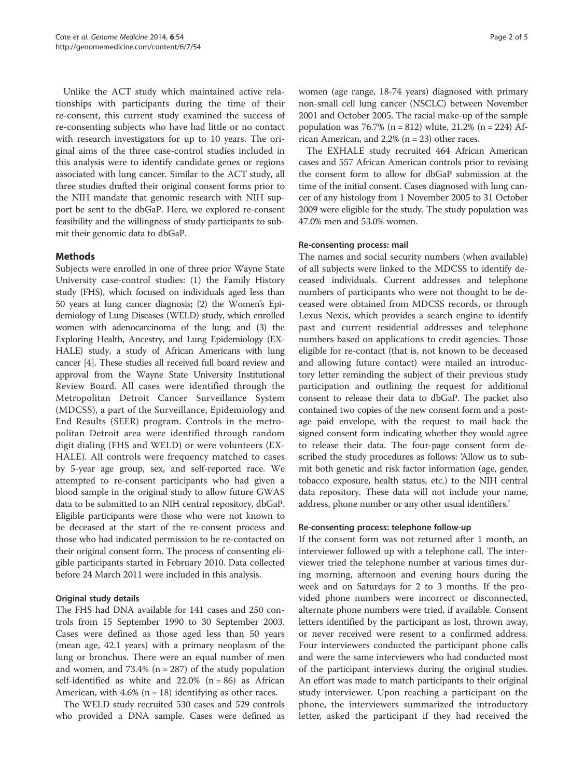Unlike the ACT study which maintained active relationships with participants during the time of their re-consent, this current study examined the success of re-consenting subjects who have had little or no contact with research investigators for up to 10 years. The original aims of the three case-control studies included in this analysis were to identify candidate genes or regions associated with lung cancer. Similar to the ACT study, all three studies drafted their original consent forms prior to the NIH mandate that genomic research with NIH support be sent to the dbGaP. Here, we explored re-consent feasibility and the willingness of study participants to submit their genomic data to dbGaP.

# Methods

Subjects were enrolled in one of three prior Wayne State University case-control studies: (1) the Family History study (FHS), which focused on individuals aged less than 50 years at lung cancer diagnosis; (2) the Women's Epidemiology of Lung Diseases (WELD) study, which enrolled women with adenocarcinoma of the lung; and (3) the Exploring Health, Ancestry, and Lung Epidemiology (EX-HALE) study, a study of African Americans with lung cancer [\[4](#page-4-0)]. These studies all received full board review and approval from the Wayne State University Institutional Review Board. All cases were identified through the Metropolitan Detroit Cancer Surveillance System (MDCSS), a part of the Surveillance, Epidemiology and End Results (SEER) program. Controls in the metropolitan Detroit area were identified through random digit dialing (FHS and WELD) or were volunteers (EX-HALE). All controls were frequency matched to cases by 5-year age group, sex, and self-reported race. We attempted to re-consent participants who had given a blood sample in the original study to allow future GWAS data to be submitted to an NIH central repository, dbGaP. Eligible participants were those who were not known to be deceased at the start of the re-consent process and those who had indicated permission to be re-contacted on their original consent form. The process of consenting eligible participants started in February 2010. Data collected before 24 March 2011 were included in this analysis.

### Original study details

The FHS had DNA available for 141 cases and 250 controls from 15 September 1990 to 30 September 2003. Cases were defined as those aged less than 50 years (mean age, 42.1 years) with a primary neoplasm of the lung or bronchus. There were an equal number of men and women, and 73.4% ( $n = 287$ ) of the study population self-identified as white and  $22.0\%$  (n = 86) as African American, with  $4.6\%$  (n = 18) identifying as other races.

The WELD study recruited 530 cases and 529 controls who provided a DNA sample. Cases were defined as

women (age range, 18-74 years) diagnosed with primary non-small cell lung cancer (NSCLC) between November 2001 and October 2005. The racial make-up of the sample population was 76.7% (n = 812) white, 21.2% (n = 224) African American, and  $2.2\%$  (n = 23) other races.

The EXHALE study recruited 464 African American cases and 557 African American controls prior to revising the consent form to allow for dbGaP submission at the time of the initial consent. Cases diagnosed with lung cancer of any histology from 1 November 2005 to 31 October 2009 were eligible for the study. The study population was 47.0% men and 53.0% women.

### Re-consenting process: mail

The names and social security numbers (when available) of all subjects were linked to the MDCSS to identify deceased individuals. Current addresses and telephone numbers of participants who were not thought to be deceased were obtained from MDCSS records, or through Lexus Nexis, which provides a search engine to identify past and current residential addresses and telephone numbers based on applications to credit agencies. Those eligible for re-contact (that is, not known to be deceased and allowing future contact) were mailed an introductory letter reminding the subject of their previous study participation and outlining the request for additional consent to release their data to dbGaP. The packet also contained two copies of the new consent form and a postage paid envelope, with the request to mail back the signed consent form indicating whether they would agree to release their data. The four-page consent form described the study procedures as follows: 'Allow us to submit both genetic and risk factor information (age, gender, tobacco exposure, health status, etc.) to the NIH central data repository. These data will not include your name, address, phone number or any other usual identifiers.'

### Re-consenting process: telephone follow-up

If the consent form was not returned after 1 month, an interviewer followed up with a telephone call. The interviewer tried the telephone number at various times during morning, afternoon and evening hours during the week and on Saturdays for 2 to 3 months. If the provided phone numbers were incorrect or disconnected, alternate phone numbers were tried, if available. Consent letters identified by the participant as lost, thrown away, or never received were resent to a confirmed address. Four interviewers conducted the participant phone calls and were the same interviewers who had conducted most of the participant interviews during the original studies. An effort was made to match participants to their original study interviewer. Upon reaching a participant on the phone, the interviewers summarized the introductory letter, asked the participant if they had received the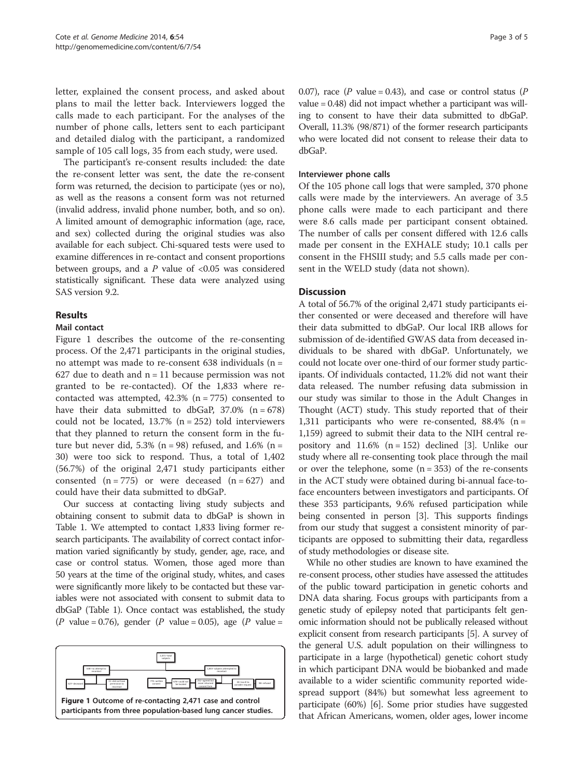letter, explained the consent process, and asked about plans to mail the letter back. Interviewers logged the calls made to each participant. For the analyses of the number of phone calls, letters sent to each participant and detailed dialog with the participant, a randomized sample of 105 call logs, 35 from each study, were used.

The participant's re-consent results included: the date the re-consent letter was sent, the date the re-consent form was returned, the decision to participate (yes or no), as well as the reasons a consent form was not returned (invalid address, invalid phone number, both, and so on). A limited amount of demographic information (age, race, and sex) collected during the original studies was also available for each subject. Chi-squared tests were used to examine differences in re-contact and consent proportions between groups, and a  $P$  value of <0.05 was considered statistically significant. These data were analyzed using SAS version 9.2.

# Results

### Mail contact

Figure 1 describes the outcome of the re-consenting process. Of the 2,471 participants in the original studies, no attempt was made to re-consent 638 individuals ( $n =$ 627 due to death and  $n = 11$  because permission was not granted to be re-contacted). Of the 1,833 where recontacted was attempted,  $42.3\%$  (n = 775) consented to have their data submitted to dbGaP,  $37.0\%$  (n = 678) could not be located,  $13.7\%$  (n = 252) told interviewers that they planned to return the consent form in the future but never did,  $5.3\%$  (n = 98) refused, and  $1.6\%$  (n = 30) were too sick to respond. Thus, a total of 1,402 (56.7%) of the original 2,471 study participants either consented  $(n = 775)$  or were deceased  $(n = 627)$  and could have their data submitted to dbGaP.

Our success at contacting living study subjects and obtaining consent to submit data to dbGaP is shown in Table [1.](#page-3-0) We attempted to contact 1,833 living former research participants. The availability of correct contact information varied significantly by study, gender, age, race, and case or control status. Women, those aged more than 50 years at the time of the original study, whites, and cases were significantly more likely to be contacted but these variables were not associated with consent to submit data to dbGaP (Table [1\)](#page-3-0). Once contact was established, the study (*P* value = 0.76), gender (*P* value = 0.05), age (*P* value =



0.07), race (P value = 0.43), and case or control status (P value = 0.48) did not impact whether a participant was willing to consent to have their data submitted to dbGaP. Overall, 11.3% (98/871) of the former research participants who were located did not consent to release their data to dbGaP.

#### Interviewer phone calls

Of the 105 phone call logs that were sampled, 370 phone calls were made by the interviewers. An average of 3.5 phone calls were made to each participant and there were 8.6 calls made per participant consent obtained. The number of calls per consent differed with 12.6 calls made per consent in the EXHALE study; 10.1 calls per consent in the FHSIII study; and 5.5 calls made per consent in the WELD study (data not shown).

### **Discussion**

A total of 56.7% of the original 2,471 study participants either consented or were deceased and therefore will have their data submitted to dbGaP. Our local IRB allows for submission of de-identified GWAS data from deceased individuals to be shared with dbGaP. Unfortunately, we could not locate over one-third of our former study participants. Of individuals contacted, 11.2% did not want their data released. The number refusing data submission in our study was similar to those in the Adult Changes in Thought (ACT) study. This study reported that of their 1,311 participants who were re-consented,  $88.4\%$  (n = 1,159) agreed to submit their data to the NIH central repository and  $11.6\%$  (n = 152) declined [[3](#page-4-0)]. Unlike our study where all re-consenting took place through the mail or over the telephone, some  $(n = 353)$  of the re-consents in the ACT study were obtained during bi-annual face-toface encounters between investigators and participants. Of these 353 participants, 9.6% refused participation while being consented in person [\[3](#page-4-0)]. This supports findings from our study that suggest a consistent minority of participants are opposed to submitting their data, regardless of study methodologies or disease site.

While no other studies are known to have examined the re-consent process, other studies have assessed the attitudes of the public toward participation in genetic cohorts and DNA data sharing. Focus groups with participants from a genetic study of epilepsy noted that participants felt genomic information should not be publically released without explicit consent from research participants [[5](#page-4-0)]. A survey of the general U.S. adult population on their willingness to participate in a large (hypothetical) genetic cohort study in which participant DNA would be biobanked and made available to a wider scientific community reported widespread support (84%) but somewhat less agreement to participate (60%) [\[6\]](#page-4-0). Some prior studies have suggested that African Americans, women, older ages, lower income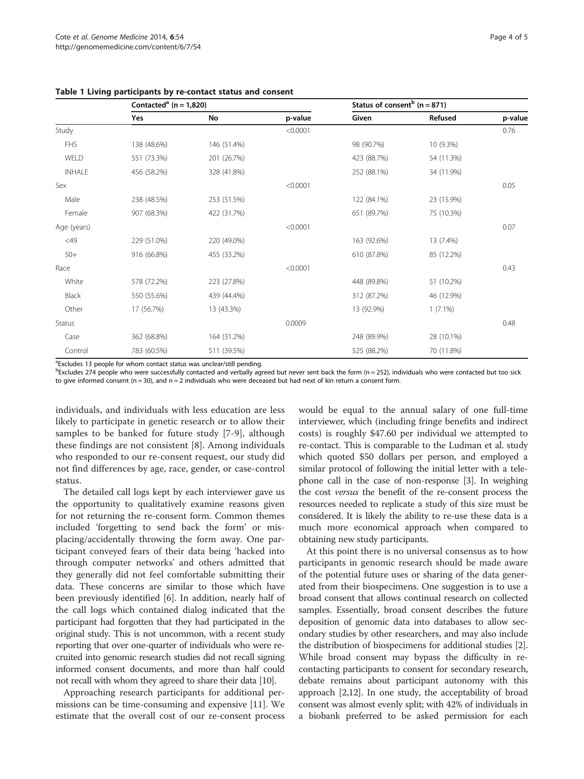|               | Contacted <sup>a</sup> (n = 1,820) |             |          | Status of consent <sup>b</sup> ( $n = 871$ ) |            |         |
|---------------|------------------------------------|-------------|----------|----------------------------------------------|------------|---------|
|               | Yes                                | No          | p-value  | Given                                        | Refused    | p-value |
| Study         |                                    |             | < 0.0001 |                                              |            | 0.76    |
| <b>FHS</b>    | 138 (48.6%)                        | 146 (51.4%) |          | 98 (90.7%)                                   | 10 (9.3%)  |         |
| WELD          | 551 (73.3%)                        | 201 (26.7%) |          | 423 (88.7%)                                  | 54 (11.3%) |         |
| <b>INHALE</b> | 456 (58.2%)                        | 328 (41.8%) |          | 252 (88.1%)                                  | 34 (11.9%) |         |
| Sex           |                                    |             | < 0.0001 |                                              |            | 0.05    |
| Male          | 238 (48.5%)                        | 253 (51.5%) |          | 122 (84.1%)                                  | 23 (15.9%) |         |
| Female        | 907 (68.3%)                        | 422 (31.7%) |          | 651 (89.7%)                                  | 75 (10.3%) |         |
| Age (years)   |                                    |             | < 0.0001 |                                              |            | 0.07    |
| $<$ 49        | 229 (51.0%)                        | 220 (49.0%) |          | 163 (92.6%)                                  | 13 (7.4%)  |         |
| $50+$         | 916 (66.8%)                        | 455 (33.2%) |          | 610 (87.8%)                                  | 85 (12.2%) |         |
| Race          |                                    |             | < 0.0001 |                                              |            | 0.43    |
| White         | 578 (72.2%)                        | 223 (27.8%) |          | 448 (89.8%)                                  | 51 (10.2%) |         |
| Black         | 550 (55.6%)                        | 439 (44.4%) |          | 312 (87.2%)                                  | 46 (12.9%) |         |
| Other         | 17 (56.7%)                         | 13 (43.3%)  |          | 13 (92.9%)                                   | $1(7.1\%)$ |         |
| Status        |                                    |             | 0.0009   |                                              |            | 0.48    |
| Case          | 362 (68.8%)                        | 164 (31.2%) |          | 248 (89.9%)                                  | 28 (10.1%) |         |
| Control       | 783 (60.5%)                        | 511 (39.5%) |          | 525 (88.2%)                                  | 70 (11.8%) |         |

## <span id="page-3-0"></span>Table 1 Living participants by re-contact status and consent

<sup>a</sup>Excludes 13 people for whom contact status was unclear/still pending.

 $^{\rm b}$ Excludes 274 people who were successfully contacted and verbally agreed but never sent back the form (n = 252), individuals who were contacted but too sick to give informed consent ( $n = 30$ ), and  $n = 2$  individuals who were deceased but had next of kin return a consent form.

individuals, and individuals with less education are less likely to participate in genetic research or to allow their samples to be banked for future study [[7-9](#page-4-0)], although these findings are not consistent [\[8](#page-4-0)]. Among individuals who responded to our re-consent request, our study did not find differences by age, race, gender, or case-control status.

The detailed call logs kept by each interviewer gave us the opportunity to qualitatively examine reasons given for not returning the re-consent form. Common themes included 'forgetting to send back the form' or misplacing/accidentally throwing the form away. One participant conveyed fears of their data being 'hacked into through computer networks' and others admitted that they generally did not feel comfortable submitting their data. These concerns are similar to those which have been previously identified [[6\]](#page-4-0). In addition, nearly half of the call logs which contained dialog indicated that the participant had forgotten that they had participated in the original study. This is not uncommon, with a recent study reporting that over one-quarter of individuals who were recruited into genomic research studies did not recall signing informed consent documents, and more than half could not recall with whom they agreed to share their data [\[10\]](#page-4-0).

Approaching research participants for additional permissions can be time-consuming and expensive [\[11\]](#page-4-0). We estimate that the overall cost of our re-consent process

would be equal to the annual salary of one full-time interviewer, which (including fringe benefits and indirect costs) is roughly \$47.60 per individual we attempted to re-contact. This is comparable to the Ludman et al. study which quoted \$50 dollars per person, and employed a similar protocol of following the initial letter with a telephone call in the case of non-response [[3](#page-4-0)]. In weighing the cost versus the benefit of the re-consent process the resources needed to replicate a study of this size must be considered. It is likely the ability to re-use these data is a much more economical approach when compared to obtaining new study participants.

At this point there is no universal consensus as to how participants in genomic research should be made aware of the potential future uses or sharing of the data generated from their biospecimens. One suggestion is to use a broad consent that allows continual research on collected samples. Essentially, broad consent describes the future deposition of genomic data into databases to allow secondary studies by other researchers, and may also include the distribution of biospecimens for additional studies [[2](#page-4-0)]. While broad consent may bypass the difficulty in recontacting participants to consent for secondary research, debate remains about participant autonomy with this approach [[2,12](#page-4-0)]. In one study, the acceptability of broad consent was almost evenly split; with 42% of individuals in a biobank preferred to be asked permission for each